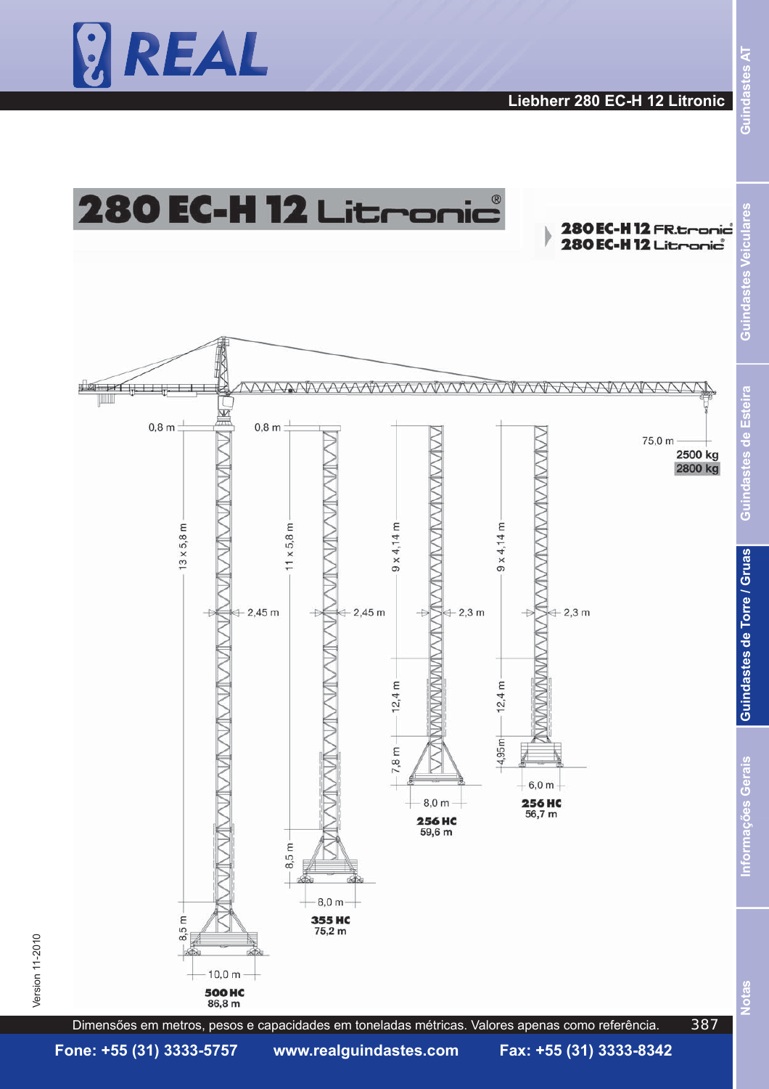



387



Version 11-2010  $\,$ 

Version 11-2010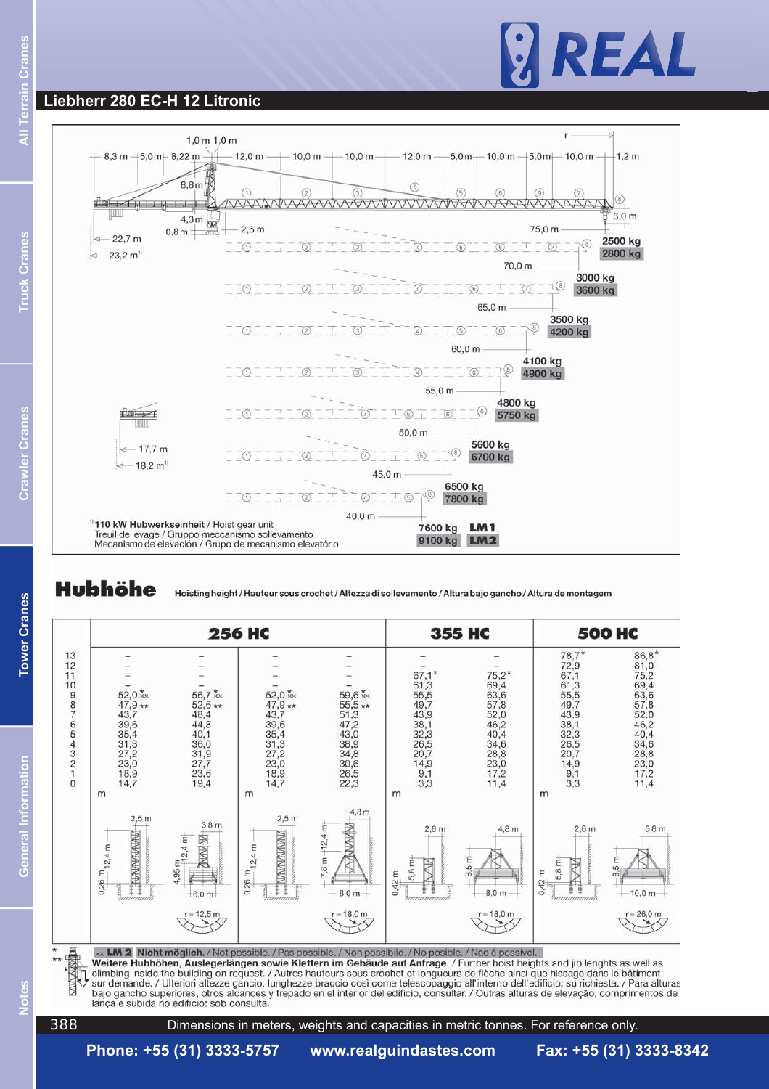# REAL

### **Liebherr 280 EC-H 12 Litronic**



**Hubhöhe** 

**Notes General Information Tower Cranes Crawler Cranes Truck Cranes All Terrain Cranes**

**Tower Cranes** 

General Information

င်

er Cranes

k Cranes

Hoisting height / Hauteur sous crochet / Altezza di sollevamento / Altura bajo gancho / Altura de montagem



**图书馆** climbing inside the building on request. / Autres hauteurs sous crochet et longueurs de flèche ainsi que hissage dans le bâtiment sur demande. / Ulteriori altezze gancio, lunghezze braccio così come telescopaggio all'interno dell'edificio: su richiesta. / Para alturas bajo gancho superiores, otros alcances y trepado en el interior del edificio, consultar. / Outras alturas de elevação, comprimentos de lança e subida no edificio: sob consulta.

 $\overline{c}$ 

Dimensions in meters, weights and capacities in metric tonnes. For reference only.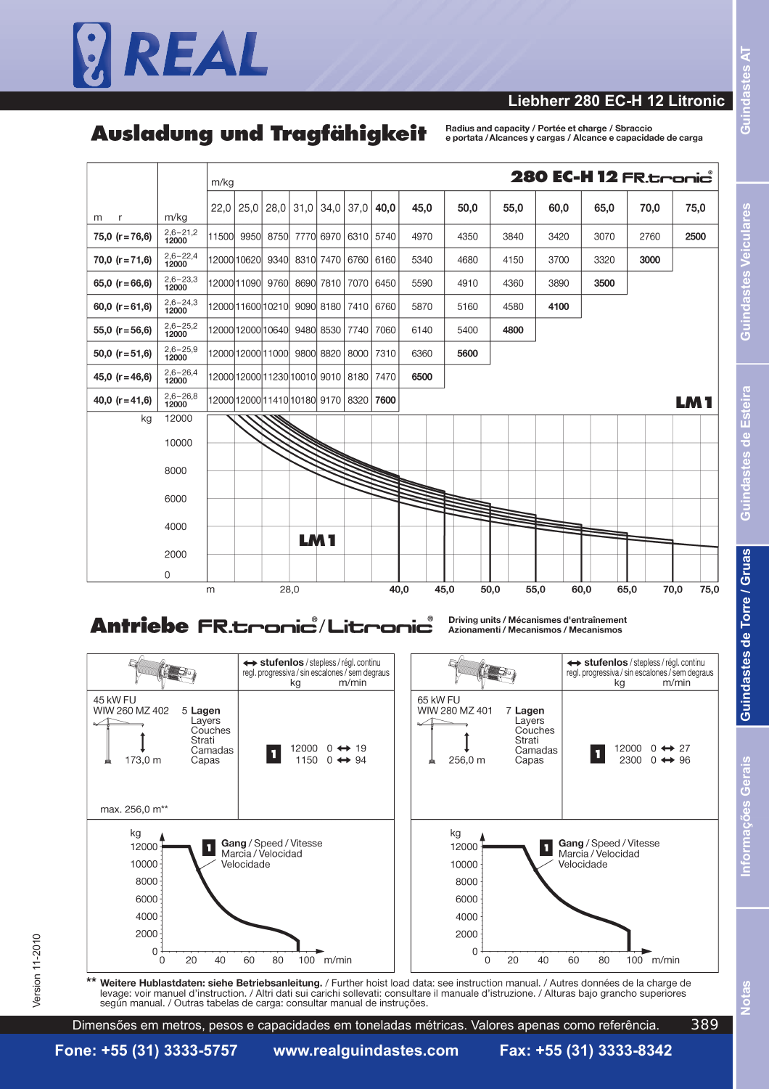

#### **Liebherr 280 EC-H 12 Litronic**

## Ausladuna und Traafähiakeit

Badius and canacity / Portée et charge / Shraccio e portata / Alcances y cargas / Alcance e capacidade de carga



## Antriebe FR.tronic / Litronic

Driving units / Mécanismes d'entraînement Azionamenti / Mecanismos / Mecanismos



tes Veiculares

indast

ā

Esteira

es de

 $\overline{5}$ Ë

<u>بہ</u>

Guindastes de Torre / Gruas

389

**Fone: +55 (31) 3333-5757 www.realguindastes.com Fax: +55 (31) 3333-8342**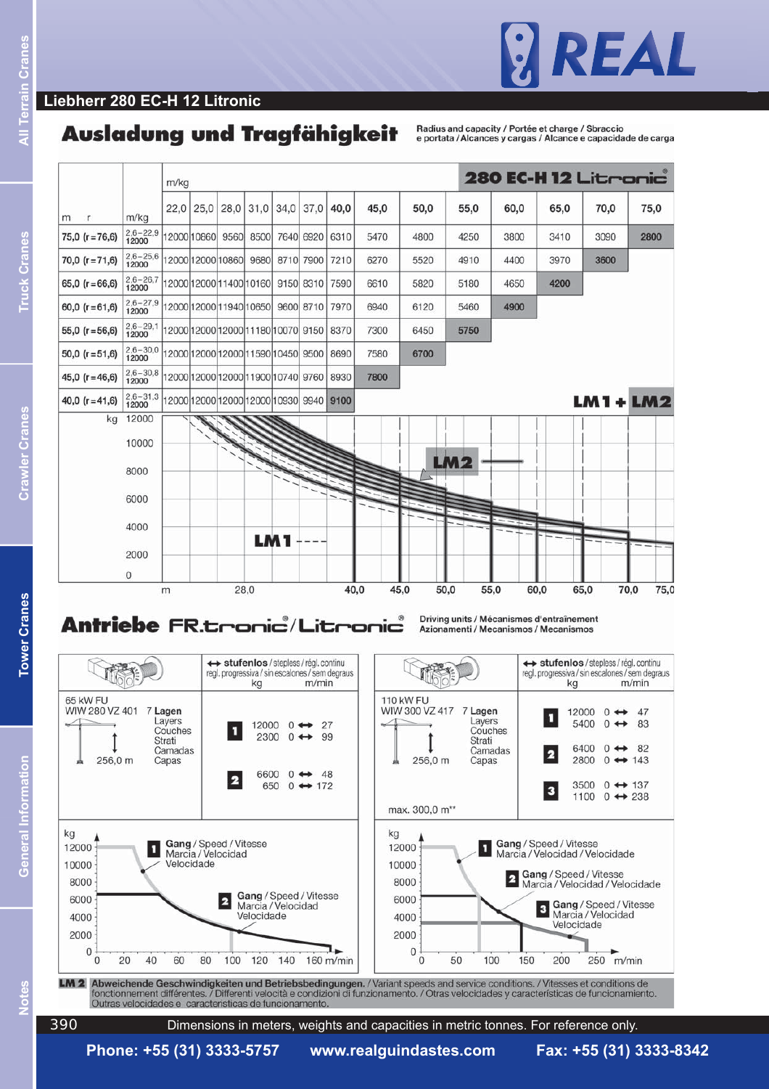

#### **Liebherr 280 EC-H 12 Litronic**

## Ausladung und Tragfähigkeit

Badius and capacity / Portée et charge / Shraccio e portata / Alcances y cargas / Alcance e capacidade de carga



**Phone: +55 (31) 3333-5757 www.realguindastes.com Fax: +55 (31) 3333-8342**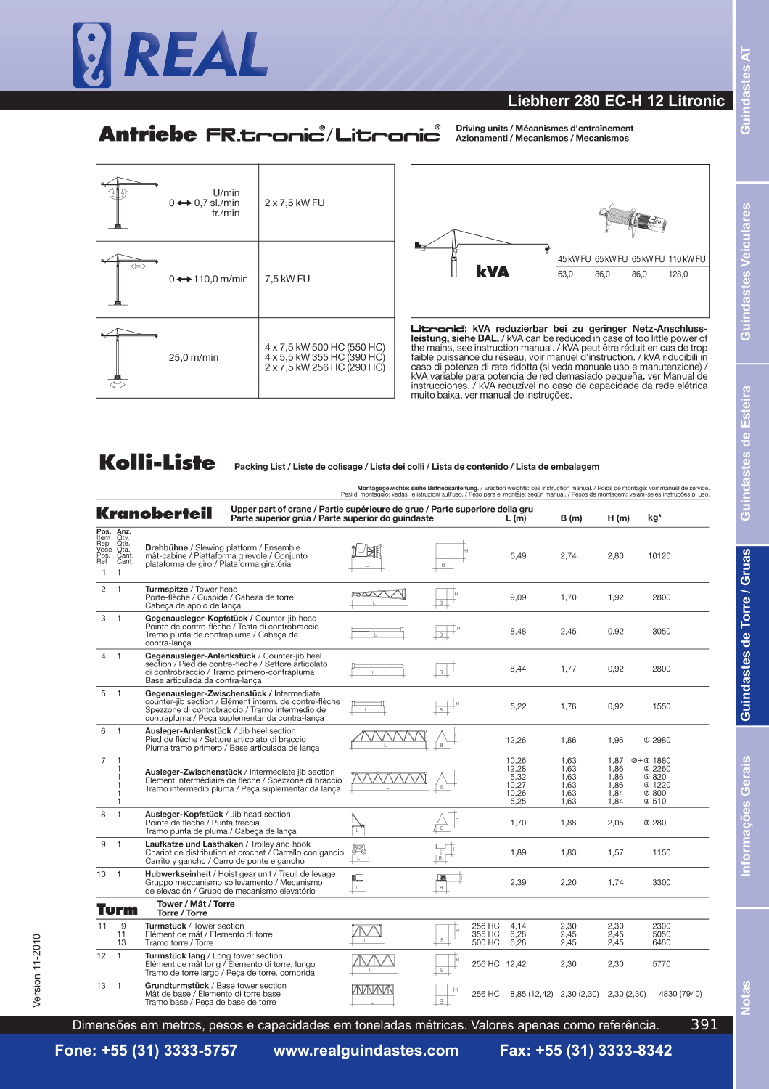

#### **Liebherr 280 EC-H 12 Litronic**

## Antriebe FR.tronic / Litronic

Driving units / Mécanismes d'entraînement Azionamenti / Mecanismos / Mecanismos

| U/min<br>$0 \leftrightarrow 0.7$ sl./min<br>tr./min | 2 x 7.5 kW FU                                                                          |
|-----------------------------------------------------|----------------------------------------------------------------------------------------|
| $0 \leftrightarrow 110,0$ m/min                     | 7,5 kW FU                                                                              |
| 25,0 m/min                                          | 4 x 7,5 kW 500 HC (550 HC)<br>4 x 5,5 kW 355 HC (390 HC)<br>2 x 7,5 kW 256 HC (290 HC) |



Litraniei: kVA reduzierbar bei zu geringer Netz-Anschluss-<br>leistung, siehe BAL./kVA can be reduced in case of too little power of<br>the mains, see instruction manual./kVA peut être réduit en cas de trop<br>faible puissance du r muito baixa, ver manual de instruções.

## **Kolli-Liste**

Packing List / Liste de colisage / Lista dei colli / Lista de contenido / Lista de embalagem

**Montagegewichte: siehe Betriebsanleitung.** / Erection weights: see instruction manual. / Poids de montage: voir manuel de service.<br>Pesi di montaggio: vedasi le istruzioni sull'uso, / Peso para el montaje: según manual. /

|                                                            |                                                     | <b>Kranoberteil</b><br>Parte superior grúa / Parte superior do guindaste                                                                                                                                  | Upper part of crane / Partie supérieure de grue / Parte superiore della gru<br>L (m) |                  |                            |                                                  | B (m)                                        | H(m)                                         | kg*                                                                  |
|------------------------------------------------------------|-----------------------------------------------------|-----------------------------------------------------------------------------------------------------------------------------------------------------------------------------------------------------------|--------------------------------------------------------------------------------------|------------------|----------------------------|--------------------------------------------------|----------------------------------------------|----------------------------------------------|----------------------------------------------------------------------|
| Pos.<br>Item<br>Rep<br>⊻oce<br>Pos.<br>Ref<br>$\mathbf{1}$ | Anz.<br>Qty.<br>Qte.<br>Qta.<br>Cant.<br>Cant.<br>1 | <b>Drehbühne</b> / Slewing platform / Ensemble<br>mât-cabine / Piattaforma girevole / Conjunto<br>plataforma de giro / Plataforma giratória                                                               |                                                                                      | B                |                            | 5.49                                             | 2.74                                         | 2.80                                         | 10120                                                                |
| $\overline{c}$                                             | $\overline{1}$                                      | Turmspitze / Tower head<br>Porte-flèche / Cuspide / Cabeza de torre<br>Cabeca de apoio de lanca                                                                                                           | 1257/77                                                                              | в                |                            | 9,09                                             | 1,70                                         | 1,92                                         | 2800                                                                 |
| 3                                                          | $\overline{1}$                                      | Gegenausleger-Kopfstück / Counter-jib head<br>Pointe de contre-flèche / Testa di controbraccio<br>Tramo punta de contrapluma / Cabeca de<br>contra-lança                                                  |                                                                                      | в                |                            | 8,48                                             | 2,45                                         | 0.92                                         | 3050                                                                 |
| 4                                                          | $\overline{1}$                                      | Gegenausleger-Anlenkstück / Counter-jib heel<br>section / Pied de contre-flèche / Settore articolato<br>di controbraccio / Tramo primero-contrapluma<br>Base articulada da contra-lança                   |                                                                                      | $\overline{B}$   |                            | 8,44                                             | 1,77                                         | 0,92                                         | 2800                                                                 |
| 5                                                          | $\mathbf{1}$                                        | Gegenausleger-Zwischenstück / Intermediate<br>counter-jib section / Elément interm. de contre-flèche<br>Spezzone di controbraccio / Tramo intermedio de<br>contrapluma / Peça suplementar da contra-lança |                                                                                      |                  |                            | 5,22                                             | 1,76                                         | 0,92                                         | 1550                                                                 |
| 6                                                          | $\overline{1}$                                      | Ausleger-Anlenkstück / Jib heel section<br>Pied de flèche / Settore articolato di braccio<br>Pluma tramo primero / Base articulada de lanca                                                               |                                                                                      | B.               |                            | 12,26                                            | 1,86                                         | 1,96                                         | $O$ 2980                                                             |
| 7                                                          |                                                     | Ausleger-Zwischenstück / Intermediate jib section<br>Elément intermédiaire de flèche / Spezzone di braccio<br>Tramo intermedio pluma / Peça suplementar da lança                                          |                                                                                      |                  |                            | 10.26<br>12,28<br>5,32<br>10,27<br>10,26<br>5,25 | 1.63<br>1,63<br>1,63<br>1,63<br>1,63<br>1.63 | 1.87<br>1,86<br>1.86<br>1,86<br>1,84<br>1.84 | $2 + 31880$<br><b>42260</b><br>@820<br><b>© 1220</b><br>@800<br>@510 |
| 8                                                          |                                                     | Ausleger-Kopfstück / Jib head section<br>Pointe de flèche / Punta freccia<br>Tramo punta de pluma / Cabeca de lança                                                                                       |                                                                                      |                  |                            | 1.70                                             | 1.88                                         | 2.05                                         | <b>8280</b>                                                          |
| 9                                                          | $\overline{1}$                                      | Laufkatze und Lasthaken / Trolley and hook<br>Chariot de distribution et crochet / Carrello con gancio<br>Carrito y gancho / Carro de ponte e gancho                                                      | Ħ<br>$\mathbb L$                                                                     |                  |                            | 1,89                                             | 1,83                                         | 1,57                                         | 1150                                                                 |
| 10                                                         | $\overline{1}$                                      | Hubwerkseinheit / Hoist gear unit / Treuil de levage<br>Gruppo meccanismo sollevamento / Mecanismo<br>de elevación / Grupo de mecanismo elevatório                                                        |                                                                                      | 国<br>$\,$ B $\,$ |                            | 2,39                                             | 2,20                                         | 1.74                                         | 3300                                                                 |
|                                                            | Turm                                                | Tower / Mât / Torre<br>Torre / Torre                                                                                                                                                                      |                                                                                      |                  |                            |                                                  |                                              |                                              |                                                                      |
| 11                                                         | 9<br>11<br>13                                       | Turmstück / Tower section<br>Elément de mât / Elemento di torre<br>Tramo torre / Torre                                                                                                                    |                                                                                      | B                | 256 HC<br>355 HC<br>500 HC | 4.14<br>6.28<br>6.28                             | 2,30<br>2.45<br>2.45                         | 2,30<br>2.45<br>2,45                         | 2300<br>5050<br>6480                                                 |
| 12                                                         | $\mathbf{1}$                                        | Turmstück lang / Long tower section<br>Elément de mât long / Elemento di torre, lungo<br>Tramo de torre largo / Peça de torre, comprida                                                                   |                                                                                      | $\overline{B}$   | 256 HC 12,42               |                                                  | 2,30                                         | 2,30                                         | 5770                                                                 |
| 13                                                         | $\overline{1}$                                      | Grundturmstück / Base tower section<br>Mât de base / Elemento di torre base<br>Tramo base / Peça de base de torre                                                                                         | WWW                                                                                  | B.               | 256 HC                     | 8,85 (12,42) 2,30 (2,30)                         |                                              | 2,30(2,30)                                   | 4830 (7940)                                                          |

391